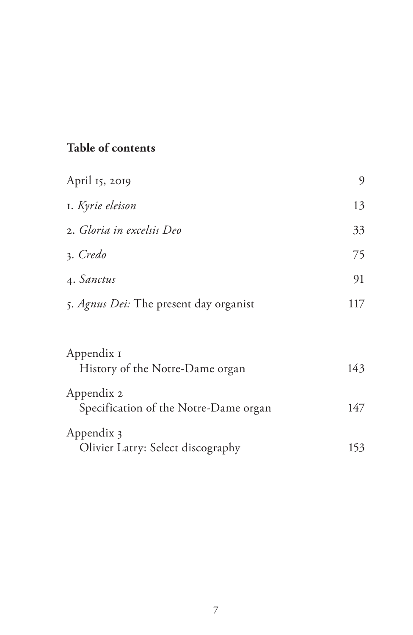# **Table of contents**

| April 15, 2019                                      | 9   |
|-----------------------------------------------------|-----|
| I. Kyrie eleison                                    | 13  |
| 2. Gloria in excelsis Deo                           | 33  |
| 3. Credo                                            | 75  |
| 4. Sanctus                                          | 91  |
| 5. Agnus Dei: The present day organist              | 117 |
|                                                     |     |
| Appendix I<br>History of the Notre-Dame organ       | 143 |
| Appendix 2<br>Specification of the Notre-Dame organ | 147 |
| Appendix 3<br>Olivier Latry: Select discography     | 153 |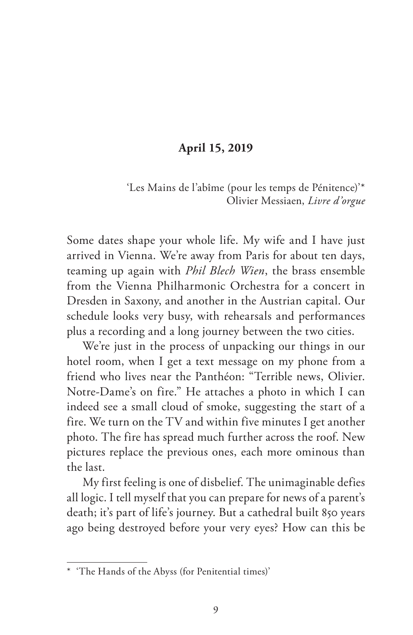## **April 15, 2019**

'Les Mains de l'abîme (pour les temps de Pénitence)'\* Olivier Messiaen, *Livre d'orgue*

Some dates shape your whole life. My wife and I have just arrived in Vienna. We're away from Paris for about ten days, teaming up again with *Phil Blech Wien*, the brass ensemble from the Vienna Philharmonic Orchestra for a concert in Dresden in Saxony, and another in the Austrian capital. Our schedule looks very busy, with rehearsals and performances plus a recording and a long journey between the two cities.

We're just in the process of unpacking our things in our hotel room, when I get a text message on my phone from a friend who lives near the Panthéon: "Terrible news, Olivier. Notre-Dame's on fire." He attaches a photo in which I can indeed see a small cloud of smoke, suggesting the start of a fire. We turn on the TV and within five minutes I get another photo. The fire has spread much further across the roof. New pictures replace the previous ones, each more ominous than the last.

My first feeling is one of disbelief. The unimaginable defies all logic. I tell myself that you can prepare for news of a parent's death; it's part of life's journey. But a cathedral built 850 years ago being destroyed before your very eyes? How can this be

<sup>\*</sup> 'The Hands of the Abyss (for Penitential times)'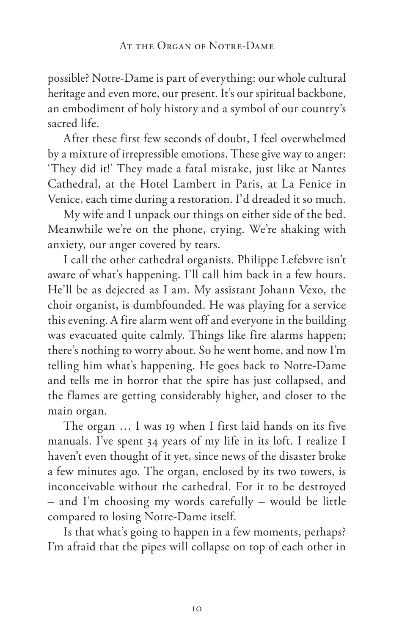possible? Notre-Dame is part of everything: our whole cultural heritage and even more, our present. It's our spiritual backbone, an embodiment of holy history and a symbol of our country's sacred life.

After these first few seconds of doubt, I feel overwhelmed by a mixture of irrepressible emotions. These give way to anger: 'They did it!' They made a fatal mistake, just like at Nantes Cathedral, at the Hotel Lambert in Paris, at La Fenice in Venice, each time during a restoration. I'd dreaded it so much.

My wife and I unpack our things on either side of the bed. Meanwhile we're on the phone, crying. We're shaking with anxiety, our anger covered by tears.

I call the other cathedral organists. Philippe Lefebvre isn't aware of what's happening. I'll call him back in a few hours. He'll be as dejected as I am. My assistant Johann Vexo, the choir organist, is dumbfounded. He was playing for a service this evening. A fire alarm went off and everyone in the building was evacuated quite calmly. Things like fire alarms happen; there's nothing to worry about. So he went home, and now I'm telling him what's happening. He goes back to Notre-Dame and tells me in horror that the spire has just collapsed, and the flames are getting considerably higher, and closer to the main organ.

The organ … I was 19 when I first laid hands on its five manuals. I've spent 34 years of my life in its loft. I realize I haven't even thought of it yet, since news of the disaster broke a few minutes ago. The organ, enclosed by its two towers, is inconceivable without the cathedral. For it to be destroyed – and I'm choosing my words carefully – would be little compared to losing Notre-Dame itself.

Is that what's going to happen in a few moments, perhaps? I'm afraid that the pipes will collapse on top of each other in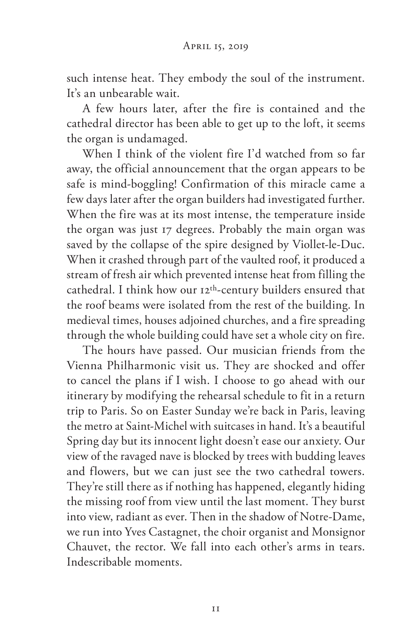such intense heat. They embody the soul of the instrument. It's an unbearable wait.

A few hours later, after the fire is contained and the cathedral director has been able to get up to the loft, it seems the organ is undamaged.

When I think of the violent fire I'd watched from so far away, the official announcement that the organ appears to be safe is mind-boggling! Confirmation of this miracle came a few days later after the organ builders had investigated further. When the fire was at its most intense, the temperature inside the organ was just 17 degrees. Probably the main organ was saved by the collapse of the spire designed by Viollet-le-Duc. When it crashed through part of the vaulted roof, it produced a stream of fresh air which prevented intense heat from filling the cathedral. I think how our 12th-century builders ensured that the roof beams were isolated from the rest of the building. In medieval times, houses adjoined churches, and a fire spreading through the whole building could have set a whole city on fire.

The hours have passed. Our musician friends from the Vienna Philharmonic visit us. They are shocked and offer to cancel the plans if I wish. I choose to go ahead with our itinerary by modifying the rehearsal schedule to fit in a return trip to Paris. So on Easter Sunday we're back in Paris, leaving the metro at Saint-Michel with suitcases in hand. It's a beautiful Spring day but its innocent light doesn't ease our anxiety. Our view of the ravaged nave is blocked by trees with budding leaves and flowers, but we can just see the two cathedral towers. They're still there as if nothing has happened, elegantly hiding the missing roof from view until the last moment. They burst into view, radiant as ever. Then in the shadow of Notre-Dame, we run into Yves Castagnet, the choir organist and Monsignor Chauvet, the rector. We fall into each other's arms in tears. Indescribable moments.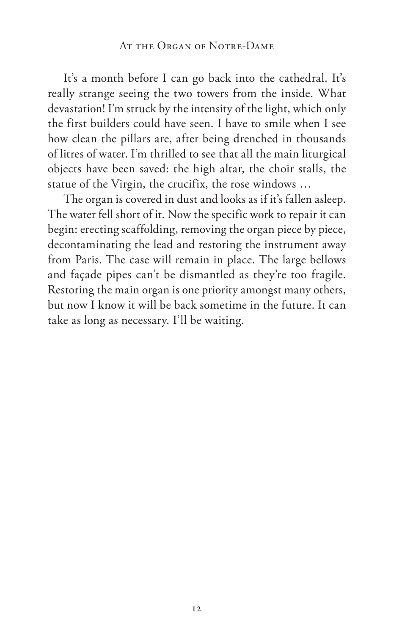#### AT THE ORGAN OF NOTRE-DAME

It's a month before I can go back into the cathedral. It's really strange seeing the two towers from the inside. What devastation! I'm struck by the intensity of the light, which only the first builders could have seen. I have to smile when I see how clean the pillars are, after being drenched in thousands of litres of water. I'm thrilled to see that all the main liturgical objects have been saved: the high altar, the choir stalls, the statue of the Virgin, the crucifix, the rose windows …

The organ is covered in dust and looks as if it's fallen asleep. The water fell short of it. Now the specific work to repair it can begin: erecting scaffolding, removing the organ piece by piece, decontaminating the lead and restoring the instrument away from Paris. The case will remain in place. The large bellows and façade pipes can't be dismantled as they're too fragile. Restoring the main organ is one priority amongst many others, but now I know it will be back sometime in the future. It can take as long as necessary. I'll be waiting.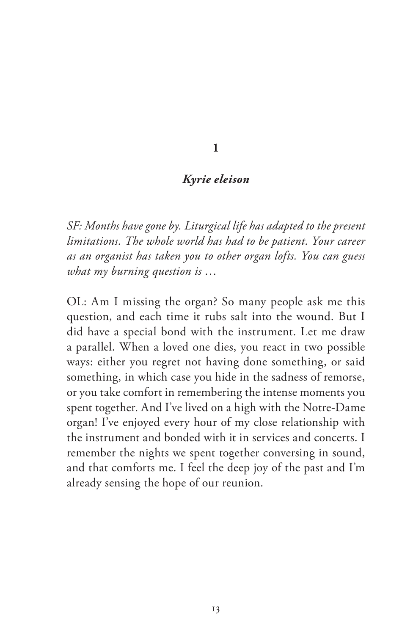#### **1**

### *Kyrie eleison*

*SF: Months have gone by. Liturgical life has adapted to the present limitations. The whole world has had to be patient. Your career as an organist has taken you to other organ lofts. You can guess what my burning question is …* 

OL: Am I missing the organ? So many people ask me this question, and each time it rubs salt into the wound. But I did have a special bond with the instrument. Let me draw a parallel. When a loved one dies, you react in two possible ways: either you regret not having done something, or said something, in which case you hide in the sadness of remorse, or you take comfort in remembering the intense moments you spent together. And I've lived on a high with the Notre-Dame organ! I've enjoyed every hour of my close relationship with the instrument and bonded with it in services and concerts. I remember the nights we spent together conversing in sound, and that comforts me. I feel the deep joy of the past and I'm already sensing the hope of our reunion.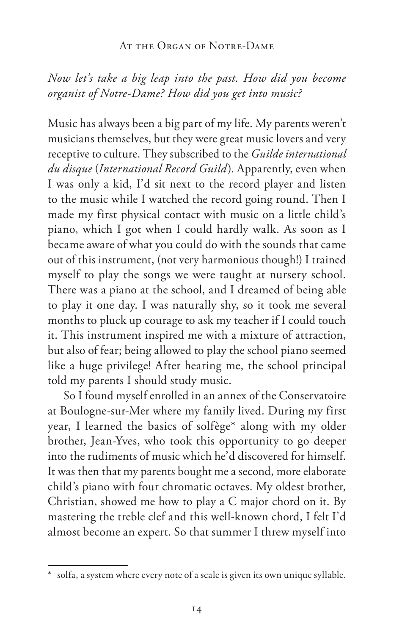#### AT THE ORGAN OF NOTRE-DAME

*Now let's take a big leap into the past. How did you become organist of Notre-Dame? How did you get into music?* 

Music has always been a big part of my life. My parents weren't musicians themselves, but they were great music lovers and very receptive to culture. They subscribed to the *Guilde international du disque* (*International Record Guild*). Apparently, even when I was only a kid, I'd sit next to the record player and listen to the music while I watched the record going round. Then I made my first physical contact with music on a little child's piano, which I got when I could hardly walk. As soon as I became aware of what you could do with the sounds that came out of this instrument, (not very harmonious though!) I trained myself to play the songs we were taught at nursery school. There was a piano at the school, and I dreamed of being able to play it one day. I was naturally shy, so it took me several months to pluck up courage to ask my teacher if I could touch it. This instrument inspired me with a mixture of attraction, but also of fear; being allowed to play the school piano seemed like a huge privilege! After hearing me, the school principal told my parents I should study music.

So I found myself enrolled in an annex of the Conservatoire at Boulogne-sur-Mer where my family lived. During my first year, I learned the basics of solfège\* along with my older brother, Jean-Yves, who took this opportunity to go deeper into the rudiments of music which he'd discovered for himself. It was then that my parents bought me a second, more elaborate child's piano with four chromatic octaves. My oldest brother, Christian, showed me how to play a C major chord on it. By mastering the treble clef and this well-known chord, I felt I'd almost become an expert. So that summer I threw myself into

<sup>\*</sup> solfa, a system where every note of a scale is given its own unique syllable.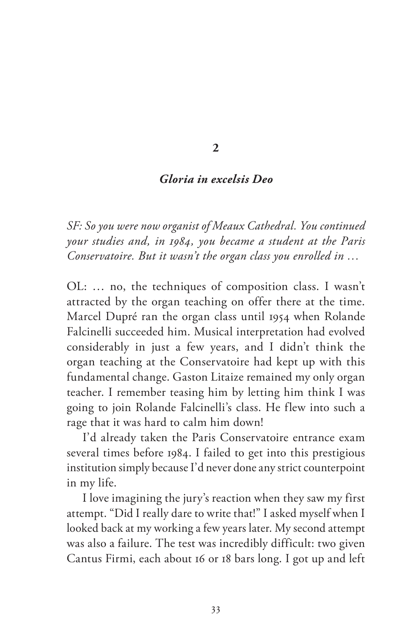#### **2**

### *Gloria in excelsis Deo*

*SF: So you were now organist of Meaux Cathedral. You continued your studies and, in 1984, you became a student at the Paris Conservatoire. But it wasn't the organ class you enrolled in …*

OL: … no, the techniques of composition class. I wasn't attracted by the organ teaching on offer there at the time. Marcel Dupré ran the organ class until 1954 when Rolande Falcinelli succeeded him. Musical interpretation had evolved considerably in just a few years, and I didn't think the organ teaching at the Conservatoire had kept up with this fundamental change. Gaston Litaize remained my only organ teacher. I remember teasing him by letting him think I was going to join Rolande Falcinelli's class. He flew into such a rage that it was hard to calm him down!

I'd already taken the Paris Conservatoire entrance exam several times before 1984. I failed to get into this prestigious institution simply because I'd never done any strict counterpoint in my life.

I love imagining the jury's reaction when they saw my first attempt. "Did I really dare to write that!" I asked myself when I looked back at my working a few years later. My second attempt was also a failure. The test was incredibly difficult: two given Cantus Firmi, each about 16 or 18 bars long. I got up and left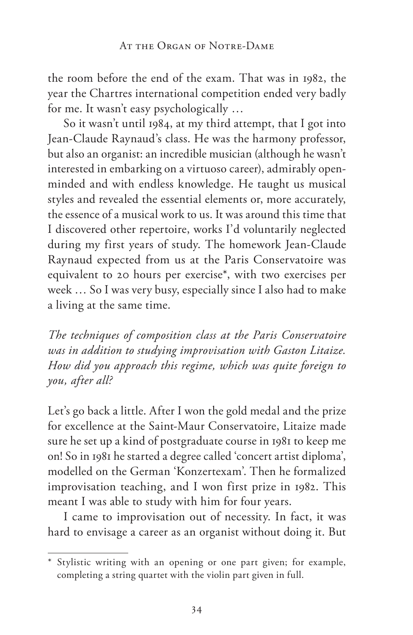the room before the end of the exam. That was in 1982, the year the Chartres international competition ended very badly for me. It wasn't easy psychologically …

So it wasn't until 1984, at my third attempt, that I got into Jean-Claude Raynaud's class. He was the harmony professor, but also an organist: an incredible musician (although he wasn't interested in embarking on a virtuoso career), admirably openminded and with endless knowledge. He taught us musical styles and revealed the essential elements or, more accurately, the essence of a musical work to us. It was around this time that I discovered other repertoire, works I'd voluntarily neglected during my first years of study. The homework Jean-Claude Raynaud expected from us at the Paris Conservatoire was equivalent to 20 hours per exercise\*, with two exercises per week … So I was very busy, especially since I also had to make a living at the same time.

*The techniques of composition class at the Paris Conservatoire was in addition to studying improvisation with Gaston Litaize. How did you approach this regime, which was quite foreign to you, after all?*

Let's go back a little. After I won the gold medal and the prize for excellence at the Saint-Maur Conservatoire, Litaize made sure he set up a kind of postgraduate course in 1981 to keep me on! So in 1981 he started a degree called 'concert artist diploma', modelled on the German 'Konzertexam'. Then he formalized improvisation teaching, and I won first prize in 1982. This meant I was able to study with him for four years.

I came to improvisation out of necessity. In fact, it was hard to envisage a career as an organist without doing it. But

<sup>\*</sup> Stylistic writing with an opening or one part given; for example, completing a string quartet with the violin part given in full.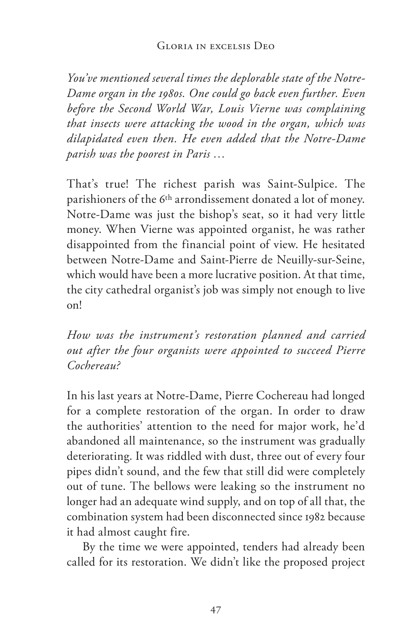*You've mentioned several times the deplorable state of the Notre-Dame organ in the 1980s. One could go back even further. Even before the Second World War, Louis Vierne was complaining that insects were attacking the wood in the organ, which was dilapidated even then. He even added that the Notre-Dame parish was the poorest in Paris …*

That's true! The richest parish was Saint-Sulpice. The parishioners of the 6th arrondissement donated a lot of money. Notre-Dame was just the bishop's seat, so it had very little money. When Vierne was appointed organist, he was rather disappointed from the financial point of view. He hesitated between Notre-Dame and Saint-Pierre de Neuilly-sur-Seine, which would have been a more lucrative position. At that time, the city cathedral organist's job was simply not enough to live on!

*How was the instrument's restoration planned and carried out after the four organists were appointed to succeed Pierre Cochereau?*

In his last years at Notre-Dame, Pierre Cochereau had longed for a complete restoration of the organ. In order to draw the authorities' attention to the need for major work, he'd abandoned all maintenance, so the instrument was gradually deteriorating. It was riddled with dust, three out of every four pipes didn't sound, and the few that still did were completely out of tune. The bellows were leaking so the instrument no longer had an adequate wind supply, and on top of all that, the combination system had been disconnected since 1982 because it had almost caught fire.

By the time we were appointed, tenders had already been called for its restoration. We didn't like the proposed project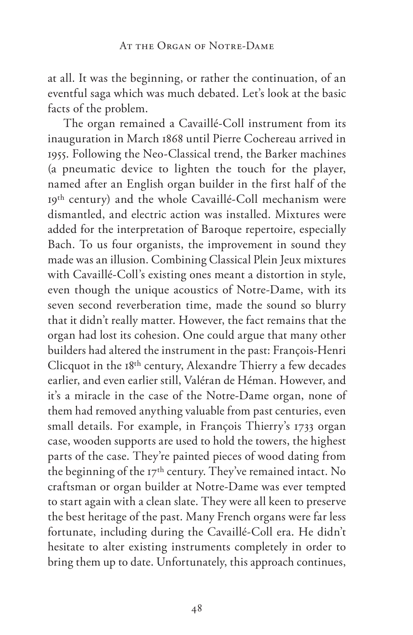at all. It was the beginning, or rather the continuation, of an eventful saga which was much debated. Let's look at the basic facts of the problem.

The organ remained a Cavaillé-Coll instrument from its inauguration in March 1868 until Pierre Cochereau arrived in 1955. Following the Neo-Classical trend, the Barker machines (a pneumatic device to lighten the touch for the player, named after an English organ builder in the first half of the 19th century) and the whole Cavaillé-Coll mechanism were dismantled, and electric action was installed. Mixtures were added for the interpretation of Baroque repertoire, especially Bach. To us four organists, the improvement in sound they made was an illusion. Combining Classical Plein Jeux mixtures with Cavaillé-Coll's existing ones meant a distortion in style, even though the unique acoustics of Notre-Dame, with its seven second reverberation time, made the sound so blurry that it didn't really matter. However, the fact remains that the organ had lost its cohesion. One could argue that many other builders had altered the instrument in the past: François-Henri Clicquot in the 18th century, Alexandre Thierry a few decades earlier, and even earlier still, Valéran de Héman. However, and it's a miracle in the case of the Notre-Dame organ, none of them had removed anything valuable from past centuries, even small details. For example, in François Thierry's 1733 organ case, wooden supports are used to hold the towers, the highest parts of the case. They're painted pieces of wood dating from the beginning of the 17<sup>th</sup> century. They've remained intact. No craftsman or organ builder at Notre-Dame was ever tempted to start again with a clean slate. They were all keen to preserve the best heritage of the past. Many French organs were far less fortunate, including during the Cavaillé-Coll era. He didn't hesitate to alter existing instruments completely in order to bring them up to date. Unfortunately, this approach continues,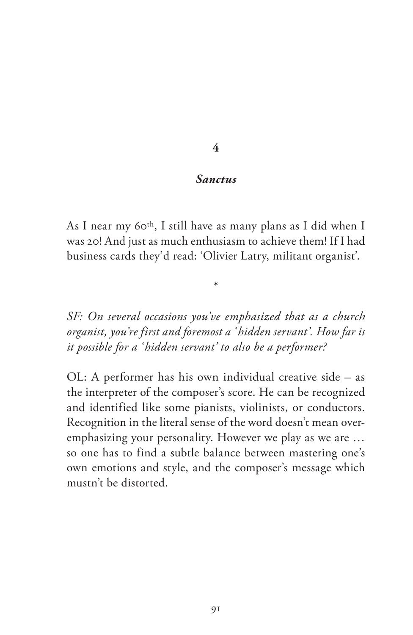#### **4**

#### *Sanctus*

As I near my 60th, I still have as many plans as I did when I was 20! And just as much enthusiasm to achieve them! If I had business cards they'd read: 'Olivier Latry, militant organist'.

\*

*SF: On several occasions you've emphasized that as a church organist, you're first and foremost a ' hidden servant'. How far is it possible for a ' hidden servant' to also be a performer?*

OL: A performer has his own individual creative side – as the interpreter of the composer's score. He can be recognized and identified like some pianists, violinists, or conductors. Recognition in the literal sense of the word doesn't mean overemphasizing your personality. However we play as we are … so one has to find a subtle balance between mastering one's own emotions and style, and the composer's message which mustn't be distorted.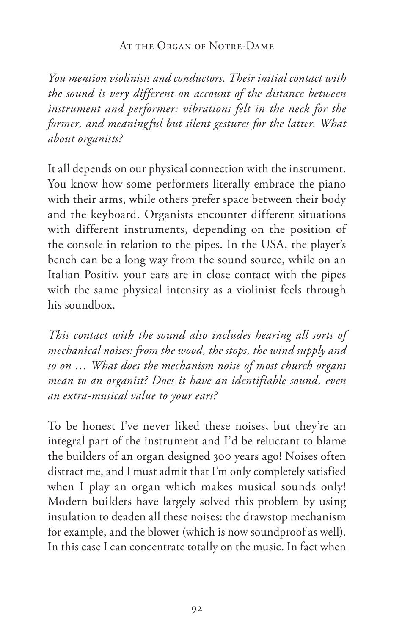### AT THE ORGAN OF NOTRE-DAME

*You mention violinists and conductors. Their initial contact with the sound is very different on account of the distance between*  instrument and performer: vibrations felt in the neck for the *former, and meaningful but silent gestures for the latter. What about organists?* 

It all depends on our physical connection with the instrument. You know how some performers literally embrace the piano with their arms, while others prefer space between their body and the keyboard. Organists encounter different situations with different instruments, depending on the position of the console in relation to the pipes. In the USA, the player's bench can be a long way from the sound source, while on an Italian Positiv, your ears are in close contact with the pipes with the same physical intensity as a violinist feels through his soundbox.

*This contact with the sound also includes hearing all sorts of mechanical noises: from the wood, the stops, the wind supply and so on … What does the mechanism noise of most church organs mean to an organist? Does it have an identifiable sound, even an extra-musical value to your ears?* 

To be honest I've never liked these noises, but they're an integral part of the instrument and I'd be reluctant to blame the builders of an organ designed 300 years ago! Noises often distract me, and I must admit that I'm only completely satisfied when I play an organ which makes musical sounds only! Modern builders have largely solved this problem by using insulation to deaden all these noises: the drawstop mechanism for example, and the blower (which is now soundproof as well). In this case I can concentrate totally on the music. In fact when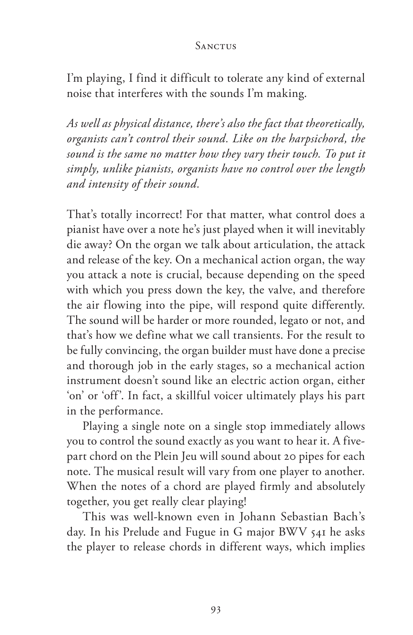#### **SANCTUS**

I'm playing, I find it difficult to tolerate any kind of external noise that interferes with the sounds I'm making.

*As well as physical distance, there's also the fact that theoretically, organists can't control their sound. Like on the harpsichord, the sound is the same no matter how they vary their touch. To put it simply, unlike pianists, organists have no control over the length and intensity of their sound.*

That's totally incorrect! For that matter, what control does a pianist have over a note he's just played when it will inevitably die away? On the organ we talk about articulation, the attack and release of the key. On a mechanical action organ, the way you attack a note is crucial, because depending on the speed with which you press down the key, the valve, and therefore the air flowing into the pipe, will respond quite differently. The sound will be harder or more rounded, legato or not, and that's how we define what we call transients. For the result to be fully convincing, the organ builder must have done a precise and thorough job in the early stages, so a mechanical action instrument doesn't sound like an electric action organ, either 'on' or 'off'. In fact, a skillful voicer ultimately plays his part in the performance.

Playing a single note on a single stop immediately allows you to control the sound exactly as you want to hear it. A fivepart chord on the Plein Jeu will sound about 20 pipes for each note. The musical result will vary from one player to another. When the notes of a chord are played firmly and absolutely together, you get really clear playing!

This was well-known even in Johann Sebastian Bach's day. In his Prelude and Fugue in G major BWV 541 he asks the player to release chords in different ways, which implies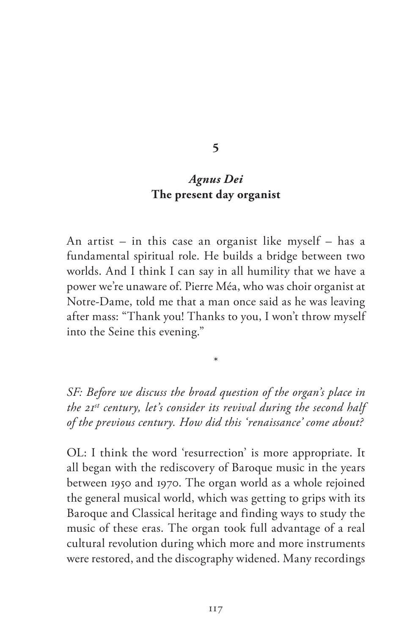#### **5**

## *Agnus Dei* **The present day organist**

An artist – in this case an organist like myself – has a fundamental spiritual role. He builds a bridge between two worlds. And I think I can say in all humility that we have a power we're unaware of. Pierre Méa, who was choir organist at Notre-Dame, told me that a man once said as he was leaving after mass: "Thank you! Thanks to you, I won't throw myself into the Seine this evening."

*SF: Before we discuss the broad question of the organ's place in the 21st century, let's consider its revival during the second half of the previous century. How did this 'renaissance' come about?*

\*

OL: I think the word 'resurrection' is more appropriate. It all began with the rediscovery of Baroque music in the years between 1950 and 1970. The organ world as a whole rejoined the general musical world, which was getting to grips with its Baroque and Classical heritage and finding ways to study the music of these eras. The organ took full advantage of a real cultural revolution during which more and more instruments were restored, and the discography widened. Many recordings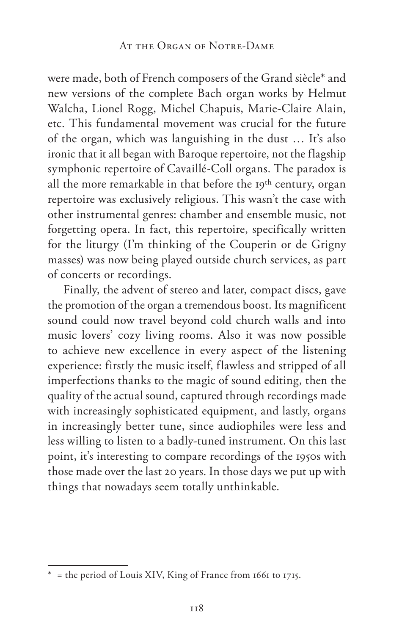were made, both of French composers of the Grand siècle\* and new versions of the complete Bach organ works by Helmut Walcha, Lionel Rogg, Michel Chapuis, Marie-Claire Alain, etc. This fundamental movement was crucial for the future of the organ, which was languishing in the dust … It's also ironic that it all began with Baroque repertoire, not the flagship symphonic repertoire of Cavaillé-Coll organs. The paradox is all the more remarkable in that before the 19th century, organ repertoire was exclusively religious. This wasn't the case with other instrumental genres: chamber and ensemble music, not forgetting opera. In fact, this repertoire, specifically written for the liturgy (I'm thinking of the Couperin or de Grigny masses) was now being played outside church services, as part of concerts or recordings.

Finally, the advent of stereo and later, compact discs, gave the promotion of the organ a tremendous boost. Its magnificent sound could now travel beyond cold church walls and into music lovers' cozy living rooms. Also it was now possible to achieve new excellence in every aspect of the listening experience: firstly the music itself, flawless and stripped of all imperfections thanks to the magic of sound editing, then the quality of the actual sound, captured through recordings made with increasingly sophisticated equipment, and lastly, organs in increasingly better tune, since audiophiles were less and less willing to listen to a badly-tuned instrument. On this last point, it's interesting to compare recordings of the 1950s with those made over the last 20 years. In those days we put up with things that nowadays seem totally unthinkable.

<sup>\*</sup> = the period of Louis XIV, King of France from 1661 to 1715.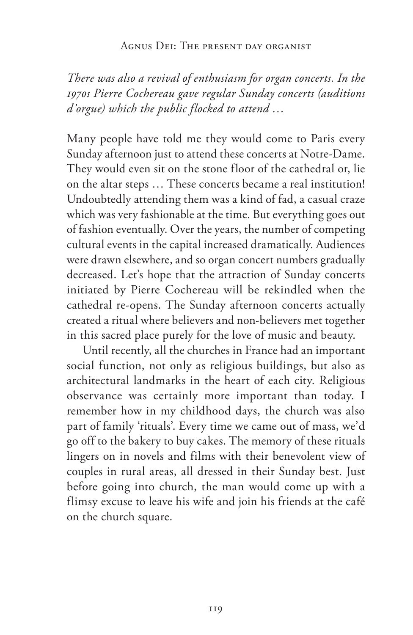#### Agnus Dei: The present day organist

*There was also a revival of enthusiasm for organ concerts. In the 1970s Pierre Cochereau gave regular Sunday concerts (auditions d'orgue) which the public flocked to attend …*

Many people have told me they would come to Paris every Sunday afternoon just to attend these concerts at Notre-Dame. They would even sit on the stone floor of the cathedral or, lie on the altar steps … These concerts became a real institution! Undoubtedly attending them was a kind of fad, a casual craze which was very fashionable at the time. But everything goes out of fashion eventually. Over the years, the number of competing cultural events in the capital increased dramatically. Audiences were drawn elsewhere, and so organ concert numbers gradually decreased. Let's hope that the attraction of Sunday concerts initiated by Pierre Cochereau will be rekindled when the cathedral re-opens. The Sunday afternoon concerts actually created a ritual where believers and non-believers met together in this sacred place purely for the love of music and beauty.

Until recently, all the churches in France had an important social function, not only as religious buildings, but also as architectural landmarks in the heart of each city. Religious observance was certainly more important than today. I remember how in my childhood days, the church was also part of family 'rituals'. Every time we came out of mass, we'd go off to the bakery to buy cakes. The memory of these rituals lingers on in novels and films with their benevolent view of couples in rural areas, all dressed in their Sunday best. Just before going into church, the man would come up with a flimsy excuse to leave his wife and join his friends at the café on the church square.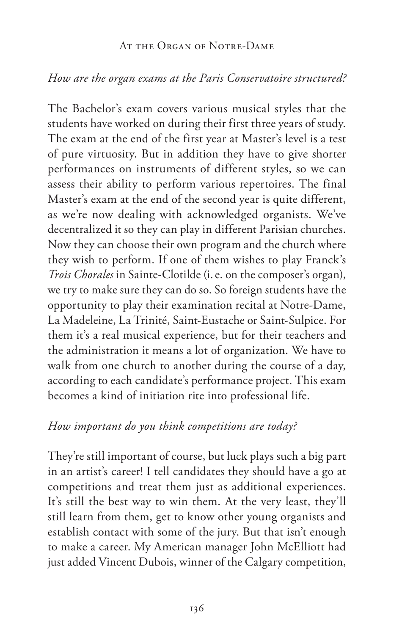#### At the Organ of Notre-Dame

## *How are the organ exams at the Paris Conservatoire structured?*

The Bachelor's exam covers various musical styles that the students have worked on during their first three years of study. The exam at the end of the first year at Master's level is a test of pure virtuosity. But in addition they have to give shorter performances on instruments of different styles, so we can assess their ability to perform various repertoires. The final Master's exam at the end of the second year is quite different, as we're now dealing with acknowledged organists. We've decentralized it so they can play in different Parisian churches. Now they can choose their own program and the church where they wish to perform. If one of them wishes to play Franck's *Trois Chorales* in Sainte-Clotilde (i.e. on the composer's organ), we try to make sure they can do so. So foreign students have the opportunity to play their examination recital at Notre-Dame, La Madeleine, La Trinité, Saint-Eustache or Saint-Sulpice. For them it's a real musical experience, but for their teachers and the administration it means a lot of organization. We have to walk from one church to another during the course of a day, according to each candidate's performance project. This exam becomes a kind of initiation rite into professional life.

## *How important do you think competitions are today?*

They're still important of course, but luck plays such a big part in an artist's career! I tell candidates they should have a go at competitions and treat them just as additional experiences. It's still the best way to win them. At the very least, they'll still learn from them, get to know other young organists and establish contact with some of the jury. But that isn't enough to make a career. My American manager John McElliott had just added Vincent Dubois, winner of the Calgary competition,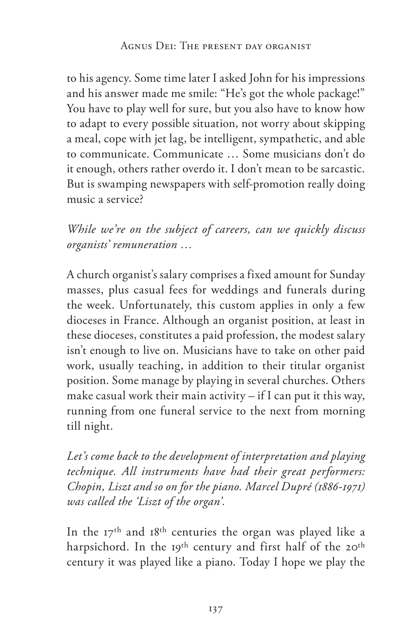to his agency. Some time later I asked John for his impressions and his answer made me smile: "He's got the whole package!" You have to play well for sure, but you also have to know how to adapt to every possible situation, not worry about skipping a meal, cope with jet lag, be intelligent, sympathetic, and able to communicate. Communicate … Some musicians don't do it enough, others rather overdo it. I don't mean to be sarcastic. But is swamping newspapers with self-promotion really doing music a service?

*While we're on the subject of careers, can we quickly discuss organists' remuneration …* 

A church organist's salary comprises a fixed amount for Sunday masses, plus casual fees for weddings and funerals during the week. Unfortunately, this custom applies in only a few dioceses in France. Although an organist position, at least in these dioceses, constitutes a paid profession, the modest salary isn't enough to live on. Musicians have to take on other paid work, usually teaching, in addition to their titular organist position. Some manage by playing in several churches. Others make casual work their main activity – if I can put it this way, running from one funeral service to the next from morning till night.

*Let's come back to the development of interpretation and playing technique. All instruments have had their great performers: Chopin, Liszt and so on for the piano. Marcel Dupré (1886-1971) was called the 'Liszt of the organ'.* 

In the 17th and 18th centuries the organ was played like a harpsichord. In the 19<sup>th</sup> century and first half of the 20<sup>th</sup> century it was played like a piano. Today I hope we play the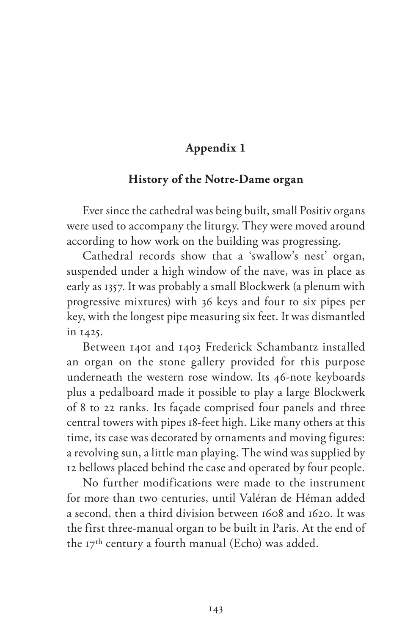## **Appendix 1**

### **History of the Notre-Dame organ**

Ever since the cathedral was being built, small Positiv organs were used to accompany the liturgy. They were moved around according to how work on the building was progressing.

Cathedral records show that a 'swallow's nest' organ, suspended under a high window of the nave, was in place as early as 1357. It was probably a small Blockwerk (a plenum with progressive mixtures) with 36 keys and four to six pipes per key, with the longest pipe measuring six feet. It was dismantled in 1425.

Between 1401 and 1403 Frederick Schambantz installed an organ on the stone gallery provided for this purpose underneath the western rose window. Its 46-note keyboards plus a pedalboard made it possible to play a large Blockwerk of 8 to 22 ranks. Its façade comprised four panels and three central towers with pipes 18-feet high. Like many others at this time, its case was decorated by ornaments and moving figures: a revolving sun, a little man playing. The wind was supplied by 12 bellows placed behind the case and operated by four people.

No further modifications were made to the instrument for more than two centuries, until Valéran de Héman added a second, then a third division between 1608 and 1620. It was the first three-manual organ to be built in Paris. At the end of the 17th century a fourth manual (Echo) was added.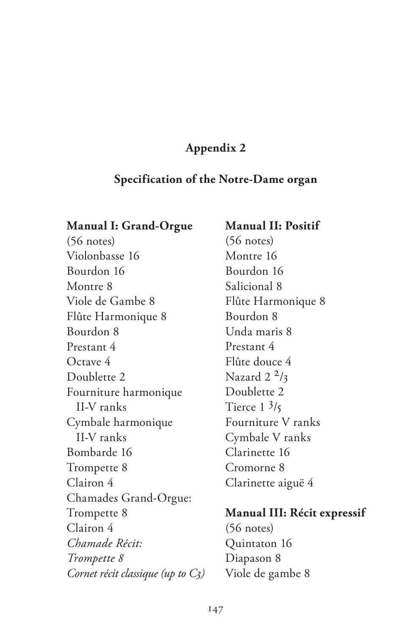## **Appendix 2**

## **Specification of the Notre-Dame organ**

### **Manual I: Grand-Orgue**

(56 notes) Violonbasse 16 Bourdon 16 Montre 8 Viole de Gambe 8 Flûte Harmonique 8 Bourdon 8 Prestant 4 Octave 4 Doublette 2 Fourniture harmonique II-V ranks Cymbale harmonique II-V ranks Bombarde 16 Trompette 8 Clairon 4 Chamades Grand-Orgue: Trompette 8 Clairon 4 *Chamade Récit: Trompette 8 Cornet récit classique (up to C3)*

## **Manual II: Positif** (56 notes) Montre 16 Bourdon 16 Salicional 8 Flûte Harmonique 8 Bourdon 8 Unda maris 8 Prestant 4 Flûte douce 4 Nazard  $2^2/3$ Doublette 2 Tierce  $1 \frac{3}{5}$ Fourniture V ranks Cymbale V ranks Clarinette 16 Cromorne 8 Clarinette aiguë 4

## **Manual III: Récit expressif**

(56 notes) Quintaton 16 Diapason 8 Viole de gambe 8